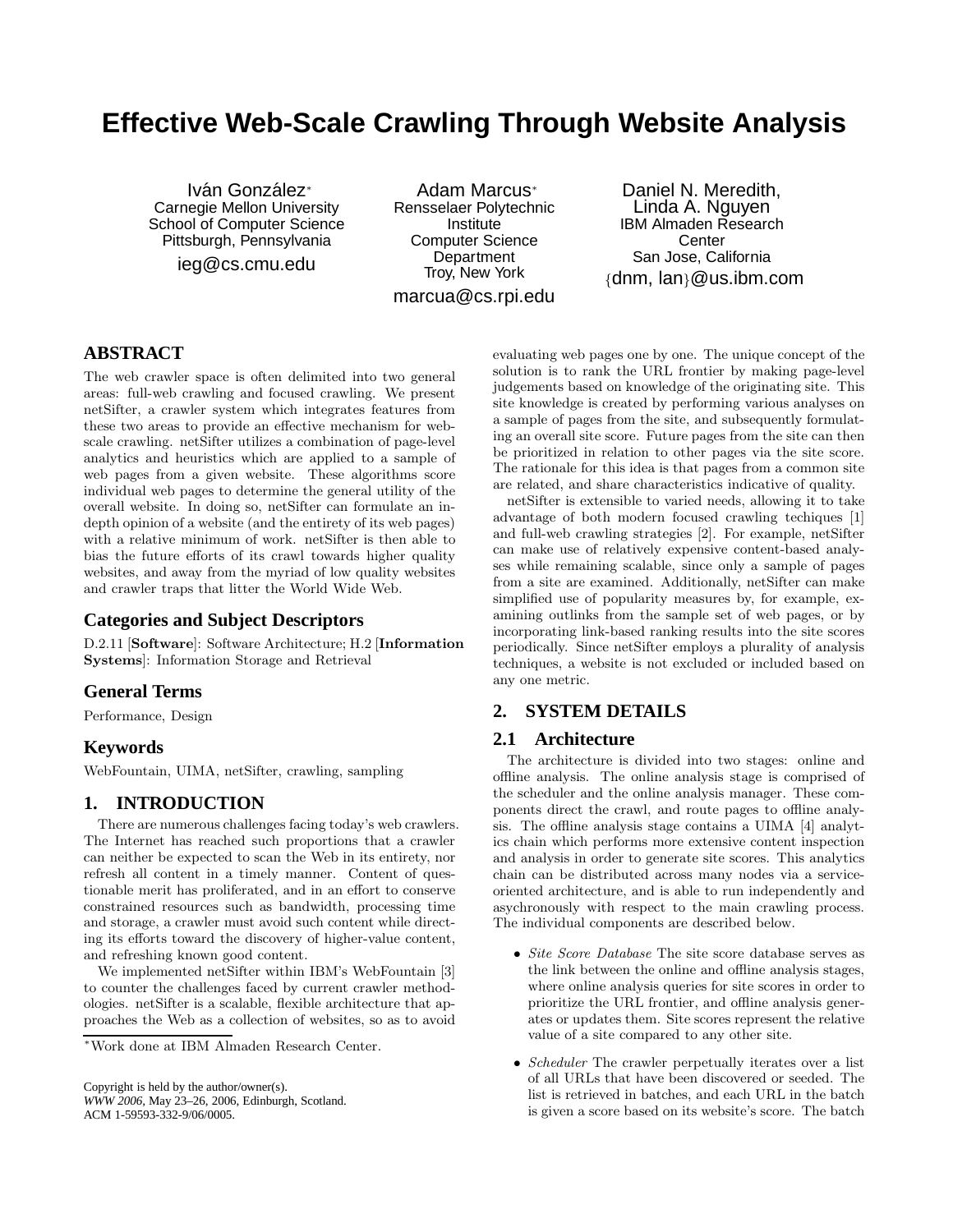# **Effective Web-Scale Crawling Through Website Analysis**

lván González\* Carnegie Mellon University School of Computer Science Pittsburgh, Pennsylvania ieg@cs.cmu.edu

Adam Marcus<sup>∗</sup> Rensselaer Polytechnic Institute Computer Science **Department** Troy, New York marcua@cs.rpi.edu

Daniel N. Meredith, Linda A. Nguyen IBM Almaden Research **Center** San Jose, California {dnm, lan}@us.ibm.com

## **ABSTRACT**

The web crawler space is often delimited into two general areas: full-web crawling and focused crawling. We present netSifter, a crawler system which integrates features from these two areas to provide an effective mechanism for webscale crawling. netSifter utilizes a combination of page-level analytics and heuristics which are applied to a sample of web pages from a given website. These algorithms score individual web pages to determine the general utility of the overall website. In doing so, netSifter can formulate an indepth opinion of a website (and the entirety of its web pages) with a relative minimum of work. netSifter is then able to bias the future efforts of its crawl towards higher quality websites, and away from the myriad of low quality websites and crawler traps that litter the World Wide Web.

### **Categories and Subject Descriptors**

D.2.11 [Software]: Software Architecture; H.2 [Information Systems]: Information Storage and Retrieval

#### **General Terms**

Performance, Design

#### **Keywords**

WebFountain, UIMA, netSifter, crawling, sampling

## **1. INTRODUCTION**

There are numerous challenges facing today's web crawlers. The Internet has reached such proportions that a crawler can neither be expected to scan the Web in its entirety, nor refresh all content in a timely manner. Content of questionable merit has proliferated, and in an effort to conserve constrained resources such as bandwidth, processing time and storage, a crawler must avoid such content while directing its efforts toward the discovery of higher-value content, and refreshing known good content.

We implemented netSifter within IBM's WebFountain [3] to counter the challenges faced by current crawler methodologies. netSifter is a scalable, flexible architecture that approaches the Web as a collection of websites, so as to avoid

*WWW 2006,* May 23–26, 2006, Edinburgh, Scotland. ACM 1-59593-332-9/06/0005.

evaluating web pages one by one. The unique concept of the solution is to rank the URL frontier by making page-level judgements based on knowledge of the originating site. This site knowledge is created by performing various analyses on a sample of pages from the site, and subsequently formulating an overall site score. Future pages from the site can then be prioritized in relation to other pages via the site score. The rationale for this idea is that pages from a common site are related, and share characteristics indicative of quality.

netSifter is extensible to varied needs, allowing it to take advantage of both modern focused crawling techiques [1] and full-web crawling strategies [2]. For example, netSifter can make use of relatively expensive content-based analyses while remaining scalable, since only a sample of pages from a site are examined. Additionally, netSifter can make simplified use of popularity measures by, for example, examining outlinks from the sample set of web pages, or by incorporating link-based ranking results into the site scores periodically. Since netSifter employs a plurality of analysis techniques, a website is not excluded or included based on any one metric.

## **2. SYSTEM DETAILS**

## **2.1 Architecture**

The architecture is divided into two stages: online and offline analysis. The online analysis stage is comprised of the scheduler and the online analysis manager. These components direct the crawl, and route pages to offline analysis. The offline analysis stage contains a UIMA [4] analytics chain which performs more extensive content inspection and analysis in order to generate site scores. This analytics chain can be distributed across many nodes via a serviceoriented architecture, and is able to run independently and asychronously with respect to the main crawling process. The individual components are described below.

- *Site Score Database* The site score database serves as the link between the online and offline analysis stages, where online analysis queries for site scores in order to prioritize the URL frontier, and offline analysis generates or updates them. Site scores represent the relative value of a site compared to any other site.
- *Scheduler* The crawler perpetually iterates over a list of all URLs that have been discovered or seeded. The list is retrieved in batches, and each URL in the batch is given a score based on its website's score. The batch

<sup>∗</sup>Work done at IBM Almaden Research Center.

Copyright is held by the author/owner(s).